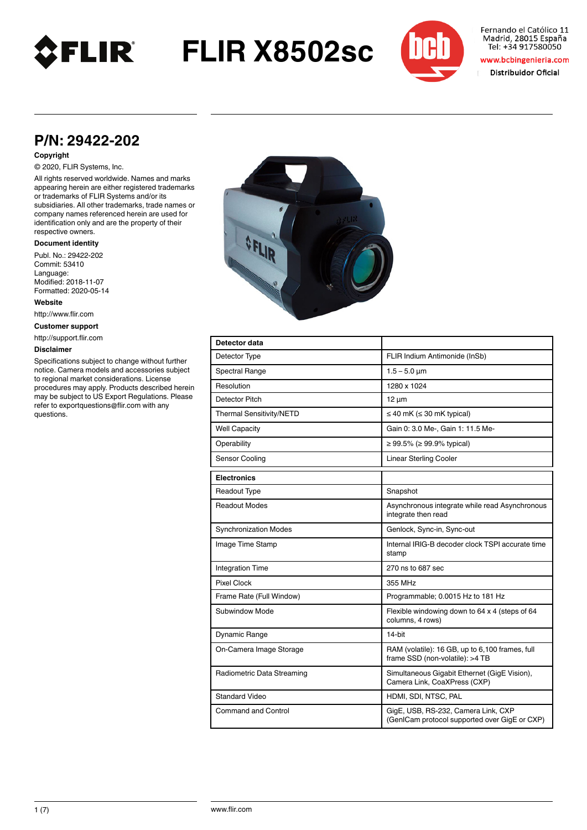

**FLIR X8502sc**



Fernando el Católico 11 Madrid, 28015 España Tel: +34 917580050

www.bcbingenieria.com

Distribuidor Oficial

## **P/N: 29422-202**

#### **Copyright**

© 2020, FLIR Systems, Inc.

All rights reserved worldwide. Names and marks appearing herein are either registered trademarks or trademarks of FLIR Systems and/or its subsidiaries. All other trademarks, trade names or company names referenced herein are used for identification only and are the property of their respective owners.

#### **Document identity**

Publ. No.: 29422-202 Commit: 53410 Language: Modified: 2018-11-07 Formatted: 2020-05-14

**Website**

http://www.flir.com

**Customer support**

http://support.flir.com

### **Disclaimer**

Specifications subject to change without further notice. Camera models and accessories subject to regional market considerations. License procedures may apply. Products described herein may be subject to US Export Regulations. Please refer to exportquestions@flir.com with any questions.



| Detector data                |                                                                                      |
|------------------------------|--------------------------------------------------------------------------------------|
| Detector Type                | FLIR Indium Antimonide (InSb)                                                        |
| <b>Spectral Range</b>        | $1.5 - 5.0 \mu m$                                                                    |
| Resolution                   | 1280 x 1024                                                                          |
| Detector Pitch               | $12 \mu m$                                                                           |
| Thermal Sensitivity/NETD     | $\leq$ 40 mK ( $\leq$ 30 mK typical)                                                 |
| <b>Well Capacity</b>         | Gain 0: 3.0 Me-, Gain 1: 11.5 Me-                                                    |
| Operability                  | ≥ 99.5% (≥ 99.9% typical)                                                            |
| Sensor Cooling               | <b>Linear Sterling Cooler</b>                                                        |
| <b>Electronics</b>           |                                                                                      |
| Readout Type                 | Snapshot                                                                             |
| Readout Modes                | Asynchronous integrate while read Asynchronous<br>integrate then read                |
| <b>Synchronization Modes</b> | Genlock, Sync-in, Sync-out                                                           |
| Image Time Stamp             | Internal IRIG-B decoder clock TSPI accurate time<br>stamp                            |
| <b>Integration Time</b>      | 270 ns to 687 sec                                                                    |
| <b>Pixel Clock</b>           | 355 MHz                                                                              |
| Frame Rate (Full Window)     | Programmable; 0.0015 Hz to 181 Hz                                                    |
| Subwindow Mode               | Flexible windowing down to 64 x 4 (steps of 64<br>columns, 4 rows)                   |
| Dynamic Range                | 14-bit                                                                               |
| On-Camera Image Storage      | RAM (volatile): 16 GB, up to 6,100 frames, full<br>frame SSD (non-volatile): >4 TB   |
| Radiometric Data Streaming   | Simultaneous Gigabit Ethernet (GigE Vision),<br>Camera Link, CoaXPress (CXP)         |
| <b>Standard Video</b>        | HDMI, SDI, NTSC, PAL                                                                 |
| Command and Control          | GigE, USB, RS-232, Camera Link, CXP<br>(GenICam protocol supported over GigE or CXP) |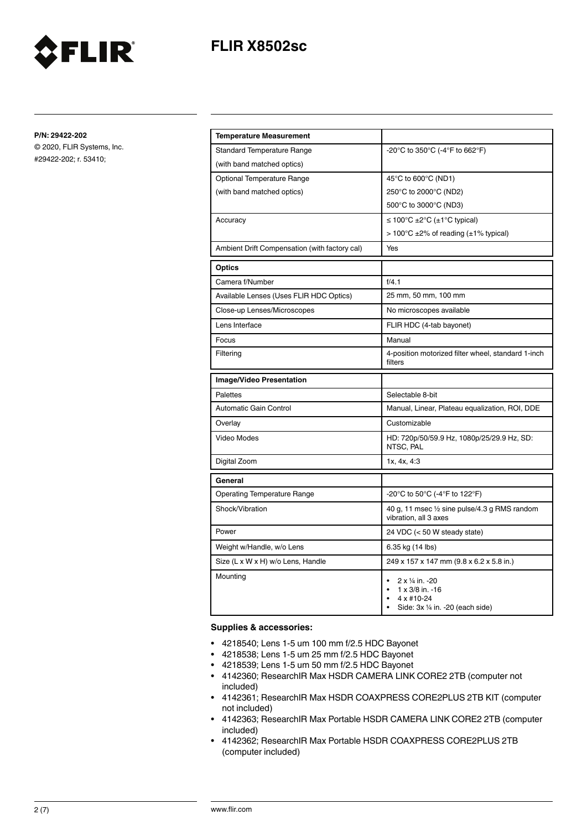# **FLIR X8502sc**



**P/N: 29422-202**

© 2020, FLIR Systems, Inc. #29422-202; r. 53410;

| <b>Temperature Measurement</b>                |                                                                                                                                                 |
|-----------------------------------------------|-------------------------------------------------------------------------------------------------------------------------------------------------|
| <b>Standard Temperature Range</b>             | -20°C to 350°C (-4°F to 662°F)                                                                                                                  |
| (with band matched optics)                    |                                                                                                                                                 |
| Optional Temperature Range                    | 45°C to 600°C (ND1)                                                                                                                             |
| (with band matched optics)                    | 250°C to 2000°C (ND2)                                                                                                                           |
|                                               | 500°C to 3000°C (ND3)                                                                                                                           |
| Accuracy                                      | ≤ 100°C ±2°C (±1°C typical)                                                                                                                     |
|                                               | $> 100^{\circ}$ C ±2% of reading (±1% typical)                                                                                                  |
| Ambient Drift Compensation (with factory cal) | Yes                                                                                                                                             |
| Optics                                        |                                                                                                                                                 |
| Camera f/Number                               | f/4.1                                                                                                                                           |
| Available Lenses (Uses FLIR HDC Optics)       | 25 mm, 50 mm, 100 mm                                                                                                                            |
| Close-up Lenses/Microscopes                   | No microscopes available                                                                                                                        |
| Lens Interface                                | FLIR HDC (4-tab bayonet)                                                                                                                        |
| Focus                                         | Manual                                                                                                                                          |
| Filtering                                     | 4-position motorized filter wheel, standard 1-inch<br>filters                                                                                   |
| <b>Image/Video Presentation</b>               |                                                                                                                                                 |
| Palettes                                      | Selectable 8-bit                                                                                                                                |
| Automatic Gain Control                        | Manual, Linear, Plateau equalization, ROI, DDE                                                                                                  |
| Overlay                                       | Customizable                                                                                                                                    |
| Video Modes                                   | HD: 720p/50/59.9 Hz, 1080p/25/29.9 Hz, SD:<br>NTSC, PAL                                                                                         |
| Digital Zoom                                  | 1x, 4x, 4:3                                                                                                                                     |
| General                                       |                                                                                                                                                 |
| <b>Operating Temperature Range</b>            | -20°C to 50°C (-4°F to 122°F)                                                                                                                   |
| Shock/Vibration                               | 40 g, 11 msec 1/2 sine pulse/4.3 g RMS random<br>vibration, all 3 axes                                                                          |
| Power                                         | 24 VDC (< 50 W steady state)                                                                                                                    |
| Weight w/Handle, w/o Lens                     | 6.35 kg (14 lbs)                                                                                                                                |
| Size (L x W x H) w/o Lens, Handle             | 249 x 157 x 147 mm (9.8 x 6.2 x 5.8 in.)                                                                                                        |
| Mounting                                      | 2 x 1/4 in. -20<br>$\bullet$<br>$1 \times 3/8$ in. -16<br>$\bullet$<br>4 x #10-24<br>$\bullet$<br>Side: 3x 1/4 in. -20 (each side)<br>$\bullet$ |

#### **Supplies & accessories:**

- 4218540; Lens 1-5 um 100 mm f/2.5 HDC Bayonet
- 4218538; Lens 1-5 um 25 mm f/2.5 HDC Bayonet
- 4218539; Lens 1-5 um 50 mm f/2.5 HDC Bayonet
- 4142360; ResearchIR Max HSDR CAMERA LINK CORE2 2TB (computer not included)
- 4142361; ResearchIR Max HSDR COAXPRESS CORE2PLUS 2TB KIT (computer not included)
- 4142363; ResearchIR Max Portable HSDR CAMERA LINK CORE2 2TB (computer included)
- 4142362; ResearchIR Max Portable HSDR COAXPRESS CORE2PLUS 2TB (computer included)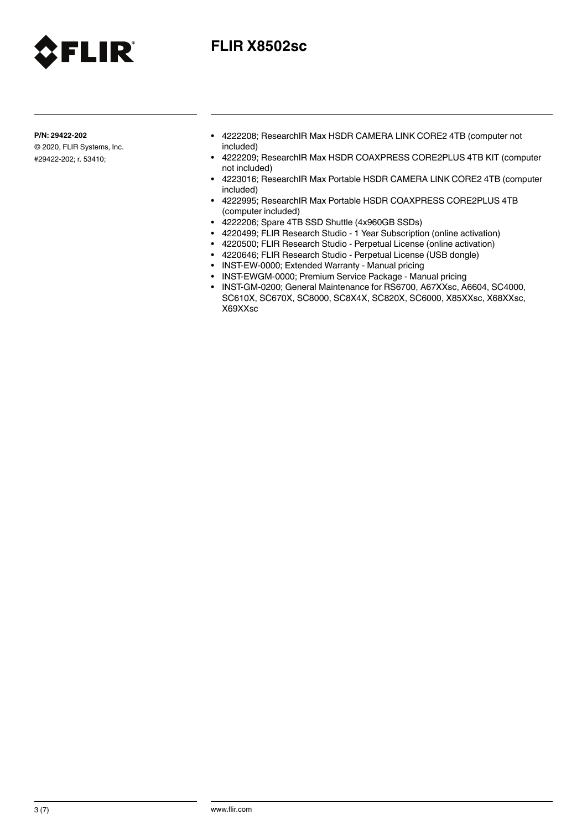

# **FLIR X8502sc**

**P/N: 29422-202**

© 2020, FLIR Systems, Inc. #29422-202; r. 53410;

- 4222208; ResearchIR Max HSDR CAMERA LINK CORE2 4TB (computer not included)
- 4222209; ResearchIR Max HSDR COAXPRESS CORE2PLUS 4TB KIT (computer not included)
- 4223016; ResearchIR Max Portable HSDR CAMERA LINK CORE2 4TB (computer included)
- 4222995; ResearchIR Max Portable HSDR COAXPRESS CORE2PLUS 4TB (computer included)
- 4222206; Spare 4TB SSD Shuttle (4x960GB SSDs)
- 4220499; FLIR Research Studio 1 Year Subscription (online activation)
- 4220500; FLIR Research Studio Perpetual License (online activation)
- 4220646; FLIR Research Studio Perpetual License (USB dongle)
- INST-EW-0000; Extended Warranty Manual pricing
- INST-EWGM-0000; Premium Service Package Manual pricing
- INST-GM-0200; General Maintenance for RS6700, A67XXsc, A6604, SC4000, SC610X, SC670X, SC8000, SC8X4X, SC820X, SC6000, X85XXsc, X68XXsc, X69XXsc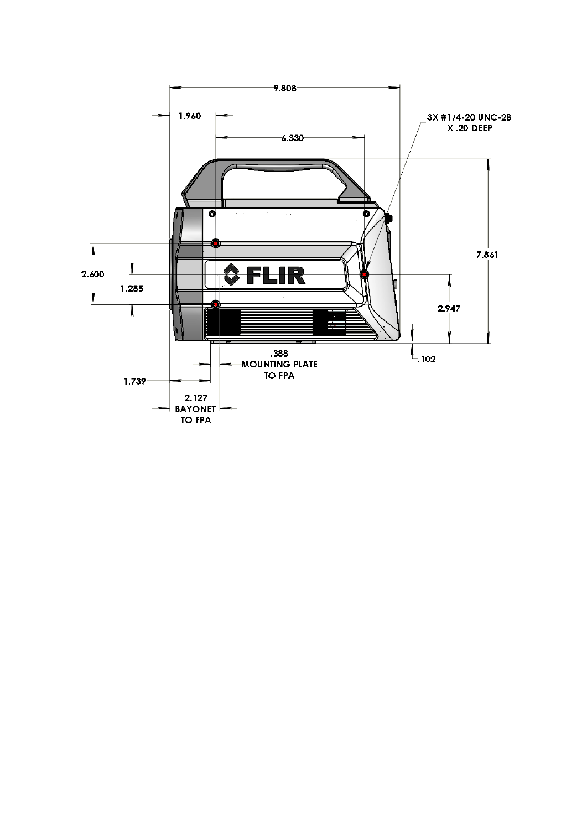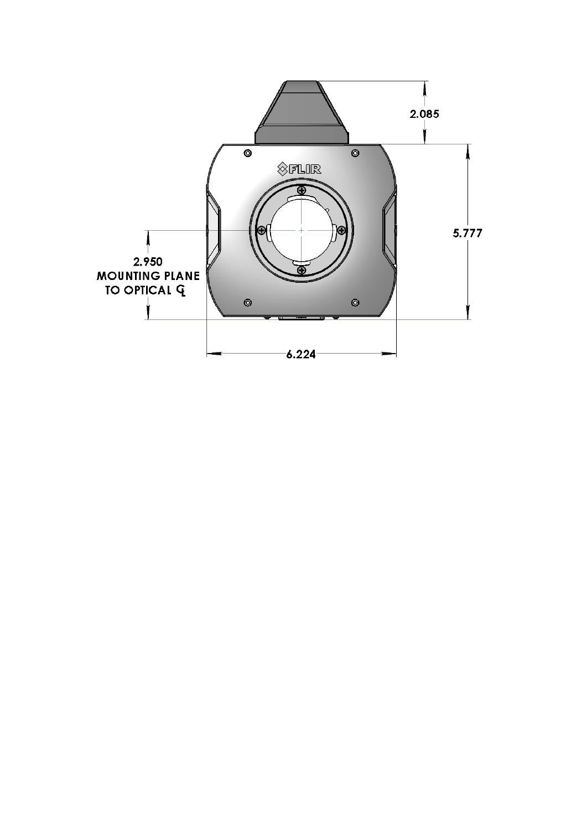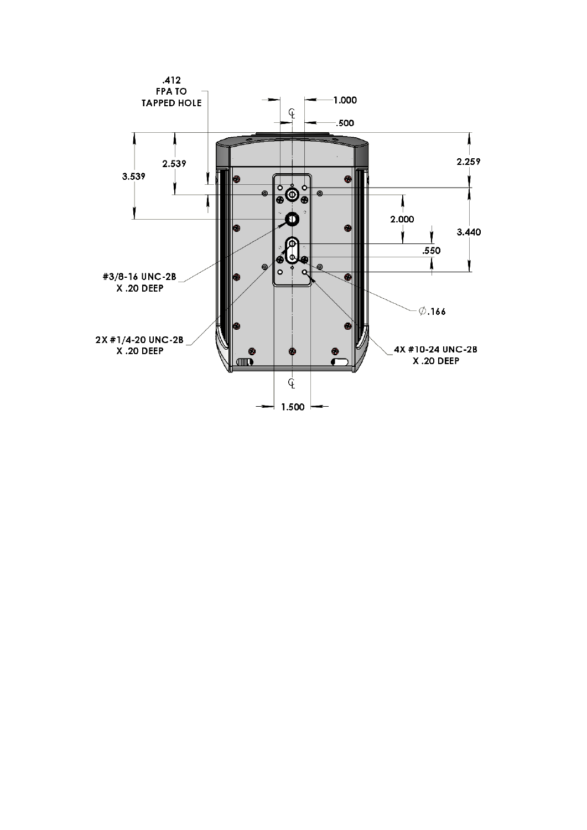